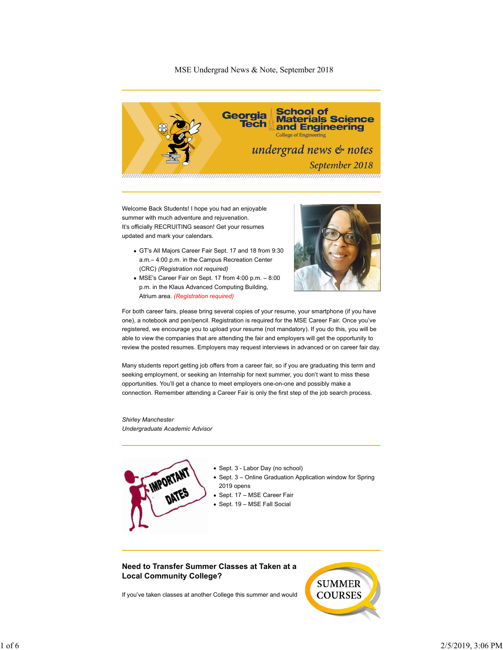## MSE Undergrad News & Note, September 2018



Welcome Back Students! I hope you had an enjoyable summer with much adventure and rejuvenation. It's officially RECRUITING season! Get your resumes updated and mark your calendars.

- GT's All Majors Career Fair Sept. 17 and 18 from 9:30 a.m.– 4:00 p.m. in the Campus Recreation Center (CRC) *(Registration not required)*
- MSE's Career Fair on Sept. 17 from 4:00 p.m. 8:00 p.m. in the Klaus Advanced Computing Building, Atrium area. *(Registration required)*



For both career fairs, please bring several copies of your resume, your smartphone (if you have one), a notebook and pen/pencil. Registration is required for the MSE Career Fair. Once you've registered, we encourage you to upload your resume (not mandatory). If you do this, you will be able to view the companies that are attending the fair and employers will get the opportunity to review the posted resumes. Employers may request interviews in advanced or on career fair day.

Many students report getting job offers from a career fair, so if you are graduating this term and seeking employment, or seeking an Internship for next summer, you don't want to miss these opportunities. You'll get a chance to meet employers one-on-one and possibly make a connection. Remember attending a Career Fair is only the first step of the job search process.

*Shirley Manchester Undergraduate Academic Advisor*



- Sept. 3 Labor Day (no school)
- Sept. 3 Online Graduation Application window for Spring 2019 opens
- Sept. 17 MSE Career Fair
- Sept. 19 MSE Fall Social

**Need to Transfer Summer Classes at Taken at a Local Community College?**

If you've taken classes at another College this summer and would

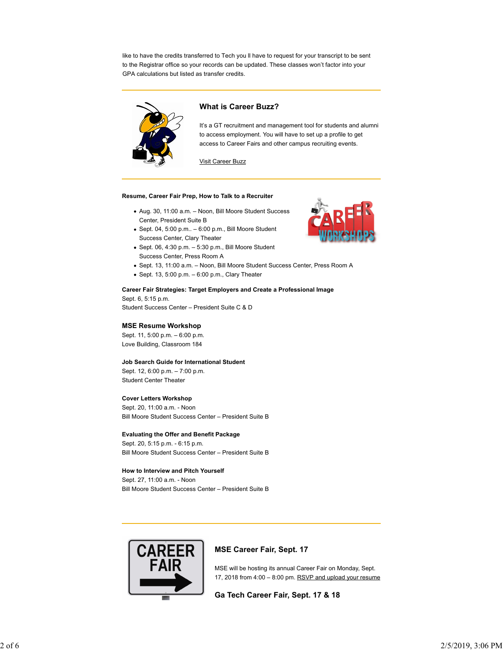like to have the credits transferred to Tech you ll have to request for your transcript to be sent to the Registrar office so your records can be updated. These classes won't factor into your GPA calculations but listed as transfer credits.



## **What is Career Buzz?**

It's a GT recruitment and management tool for students and alumni to access employment. You will have to set up a profile to get access to Career Fairs and other campus recruiting events.

Visit Career Buzz

#### **Resume, Career Fair Prep, How to Talk to a Recruiter**

- Aug. 30, 11:00 a.m. Noon, Bill Moore Student Success Center, President Suite B
- $\bullet$  Sept. 04, 5:00 p.m..  $-$  6:00 p.m., Bill Moore Student Success Center, Clary Theater
- $\bullet$  Sept. 06, 4:30 p.m.  $-5:30$  p.m., Bill Moore Student Success Center, Press Room A
- Sept. 13, 11:00 a.m. Noon, Bill Moore Student Success Center, Press Room A
- $\bullet$  Sept. 13, 5:00 p.m.  $-$  6:00 p.m., Clary Theater

#### **Career Fair Strategies: Target Employers and Create a Professional Image**

Sept. 6, 5:15 p.m. Student Success Center – President Suite C & D

# **MSE Resume Workshop**

Sept. 11, 5:00 p.m. – 6:00 p.m. Love Building, Classroom 184

#### **Job Search Guide for International Student**

Sept. 12, 6:00 p.m. – 7:00 p.m. Student Center Theater

### **Cover Letters Workshop**

Sept. 20, 11:00 a.m. - Noon Bill Moore Student Success Center – President Suite B

#### **Evaluating the Offer and Benefit Package**

Sept. 20, 5:15 p.m. - 6:15 p.m. Bill Moore Student Success Center – President Suite B

#### **How to Interview and Pitch Yourself**

Sept. 27, 11:00 a.m. - Noon Bill Moore Student Success Center – President Suite B



### **MSE Career Fair, Sept. 17**

MSE will be hosting its annual Career Fair on Monday, Sept. 17, 2018 from 4:00 – 8:00 pm. RSVP and upload your resume

### **Ga Tech Career Fair, Sept. 17 & 18**

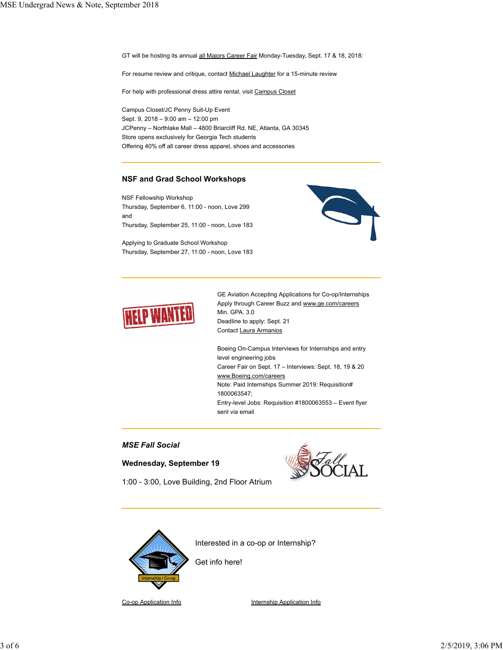GT will be hosting its annual all Majors Career Fair Monday-Tuesday, Sept. 17 & 18, 2018:

For resume review and critique, contact Michael Laughter for a 15-minute review

For help with professional dress attire rental, visit Campus Closet

Campus Closet/JC Penny Suit-Up Event Sept. 9, 2018 – 9:00 am – 12:00 pm JCPenny – Northlake Mall – 4800 Briarcliff Rd. NE, Atlanta, GA 30345 Store opens exclusively for Georgia Tech students Offering 40% off all career dress apparel, shoes and accessories

## **NSF and Grad School Workshops**

NSF Fellowship Workshop Thursday, September 6, 11:00 - noon, Love 299 and Thursday, September 25, 11:00 - noon, Love 183

Applying to Graduate School Workshop Thursday, September 27, 11:00 - noon, Love 183



GE Aviation Accepting Applications for Co-op/Internships Apply through Career Buzz and www.ge.com/careers Min. GPA. 3.0 Deadline to apply: Sept. 21 Contact Laura Armanios

Boeing On-Campus Interviews for Internships and entry level engineering jobs Career Fair on Sept. 17 – Interviews: Sept. 18, 19 & 20 www.Boeing.com/careers Note: Paid Internships Summer 2019: Requisition# 1800063547; Entry-level Jobs: Requisition #1800063553 – Event flyer sent via email

# *MSE Fall Social*

### **Wednesday, September 19**



1:00 - 3:00, Love Building, 2nd Floor Atrium



Get info here!

Co-op Application Info **Internship Application Info**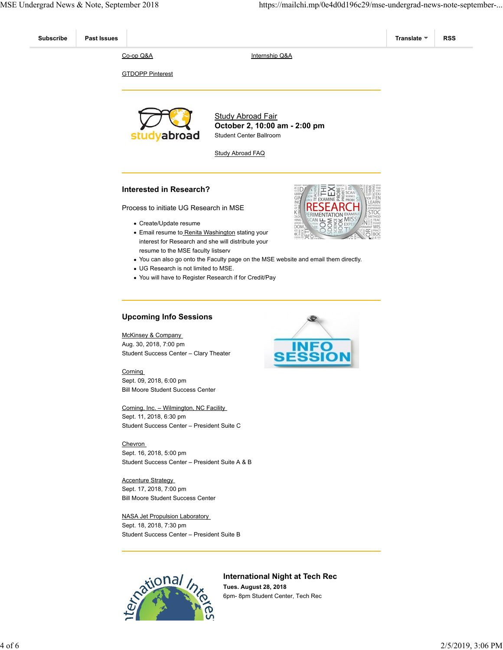



**International Night at Tech Rec Tues. August 28, 2018** 6pm- 8pm Student Center, Tech Rec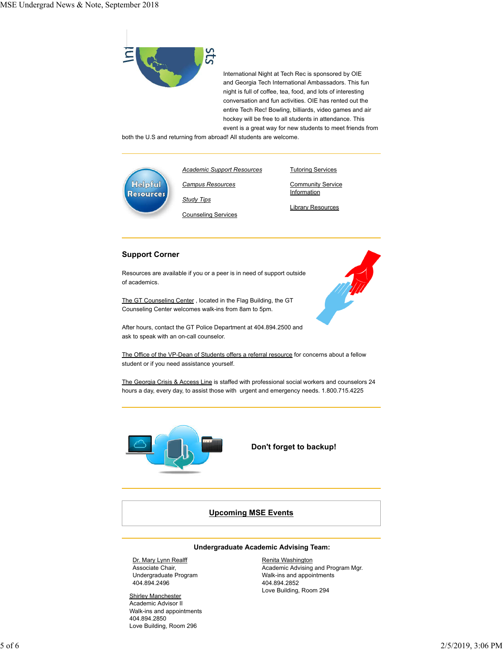

International Night at Tech Rec is sponsored by OIE and Georgia Tech International Ambassadors. This fun night is full of coffee, tea, food, and lots of interesting conversation and fun activities. OIE has rented out the entire Tech Rec! Bowling, billiards, video games and air hockey will be free to all students in attendance. This event is a great way for new students to meet friends from

both the U.S and returning from abroad! All students are welcome.



*Academic Support Resources Campus Resources*

*Study Tips*

Counseling Services

**Community Service Information** 

Tutoring Services

Library Resources

# **Support Corner**

Resources are available if you or a peer is in need of support outside of academics.

The GT Counseling Center , located in the Flag Building, the GT Counseling Center welcomes walk-ins from 8am to 5pm.



The Office of the VP-Dean of Students offers a referral resource for concerns about a fellow student or if you need assistance yourself.

The Georgia Crisis & Access Line is staffed with professional social workers and counselors 24 hours a day, every day, to assist those with urgent and emergency needs. 1.800.715.4225



 **Don't forget to backup!**

# **Upcoming MSE Events**

#### **Undergraduate Academic Advising Team:**

Dr. Mary Lynn Realff Associate Chair, Undergraduate Program 404.894.2496

**Shirley Manchester** Academic Advisor II Walk-ins and appointments 404.894.2850 Love Building, Room 296

Renita Washington Academic Advising and Program Mgr. Walk-ins and appointments 404.894.2852 Love Building, Room 294